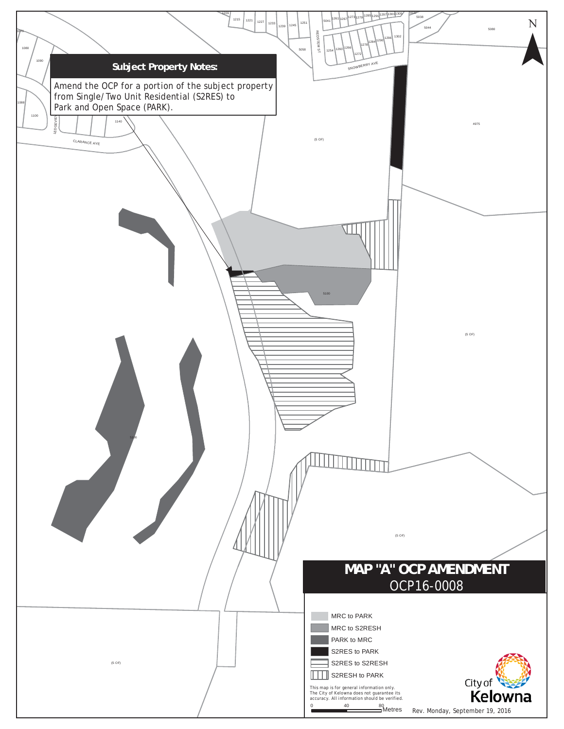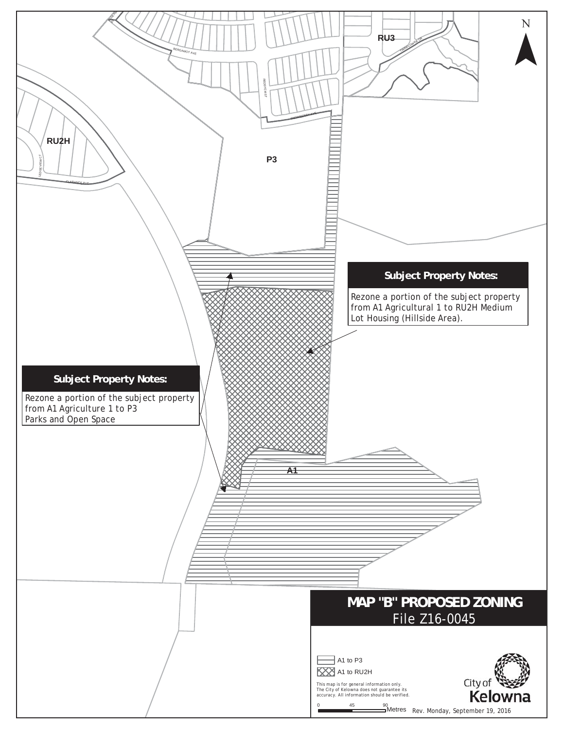